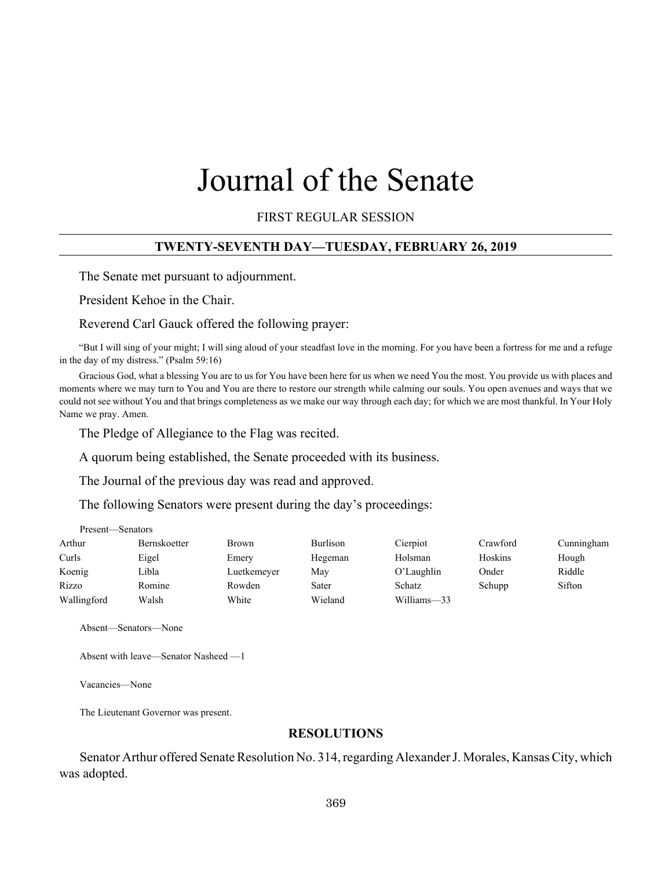# Journal of the Senate

FIRST REGULAR SESSION

#### **TWENTY-SEVENTH DAY—TUESDAY, FEBRUARY 26, 2019**

The Senate met pursuant to adjournment.

President Kehoe in the Chair.

Reverend Carl Gauck offered the following prayer:

"But I will sing of your might; I will sing aloud of your steadfast love in the morning. For you have been a fortress for me and a refuge in the day of my distress." (Psalm 59:16)

Gracious God, what a blessing You are to us for You have been here for us when we need You the most. You provide us with places and moments where we may turn to You and You are there to restore our strength while calming our souls. You open avenues and ways that we could not see without You and that brings completeness as we make our way through each day; for which we are most thankful. In Your Holy Name we pray. Amen.

The Pledge of Allegiance to the Flag was recited.

A quorum being established, the Senate proceeded with its business.

The Journal of the previous day was read and approved.

The following Senators were present during the day's proceedings:

| Present—Senators |                     |             |                 |             |          |            |
|------------------|---------------------|-------------|-----------------|-------------|----------|------------|
| Arthur           | <b>Bernskoetter</b> | Brown       | <b>Burlison</b> | Cierpiot    | Crawford | Cunningham |
| Curls            | Eigel               | Emery       | Hegeman         | Holsman     | Hoskins  | Hough      |
| Koenig           | Libla               | Luetkemeyer | May             | O'Laughlin  | Onder    | Riddle     |
| Rizzo            | Romine              | Rowden      | Sater           | Schatz      | Schupp   | Sifton     |
| Wallingford      | Walsh               | White       | Wieland         | Williams-33 |          |            |

Absent—Senators—None

Absent with leave—Senator Nasheed —1

Vacancies—None

The Lieutenant Governor was present.

#### **RESOLUTIONS**

Senator Arthur offered Senate Resolution No. 314, regarding Alexander J. Morales, Kansas City, which was adopted.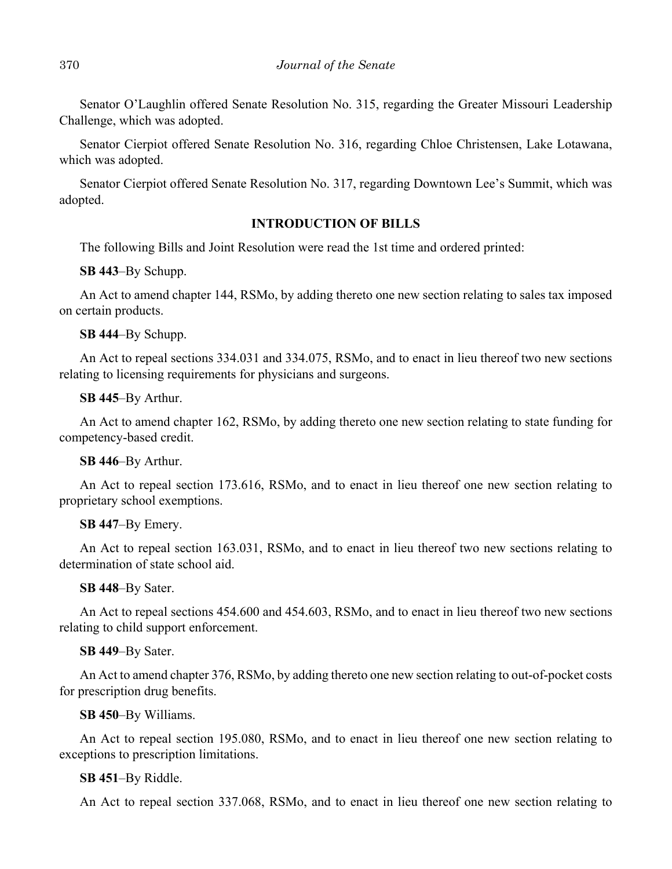Senator O'Laughlin offered Senate Resolution No. 315, regarding the Greater Missouri Leadership Challenge, which was adopted.

Senator Cierpiot offered Senate Resolution No. 316, regarding Chloe Christensen, Lake Lotawana, which was adopted.

Senator Cierpiot offered Senate Resolution No. 317, regarding Downtown Lee's Summit, which was adopted.

## **INTRODUCTION OF BILLS**

The following Bills and Joint Resolution were read the 1st time and ordered printed:

**SB 443**–By Schupp.

An Act to amend chapter 144, RSMo, by adding thereto one new section relating to sales tax imposed on certain products.

**SB 444**–By Schupp.

An Act to repeal sections 334.031 and 334.075, RSMo, and to enact in lieu thereof two new sections relating to licensing requirements for physicians and surgeons.

**SB 445**–By Arthur.

An Act to amend chapter 162, RSMo, by adding thereto one new section relating to state funding for competency-based credit.

**SB 446**–By Arthur.

An Act to repeal section 173.616, RSMo, and to enact in lieu thereof one new section relating to proprietary school exemptions.

#### **SB 447**–By Emery.

An Act to repeal section 163.031, RSMo, and to enact in lieu thereof two new sections relating to determination of state school aid.

**SB 448**–By Sater.

An Act to repeal sections 454.600 and 454.603, RSMo, and to enact in lieu thereof two new sections relating to child support enforcement.

#### **SB 449**–By Sater.

An Act to amend chapter 376, RSMo, by adding thereto one new section relating to out-of-pocket costs for prescription drug benefits.

**SB 450**–By Williams.

An Act to repeal section 195.080, RSMo, and to enact in lieu thereof one new section relating to exceptions to prescription limitations.

#### **SB 451**–By Riddle.

An Act to repeal section 337.068, RSMo, and to enact in lieu thereof one new section relating to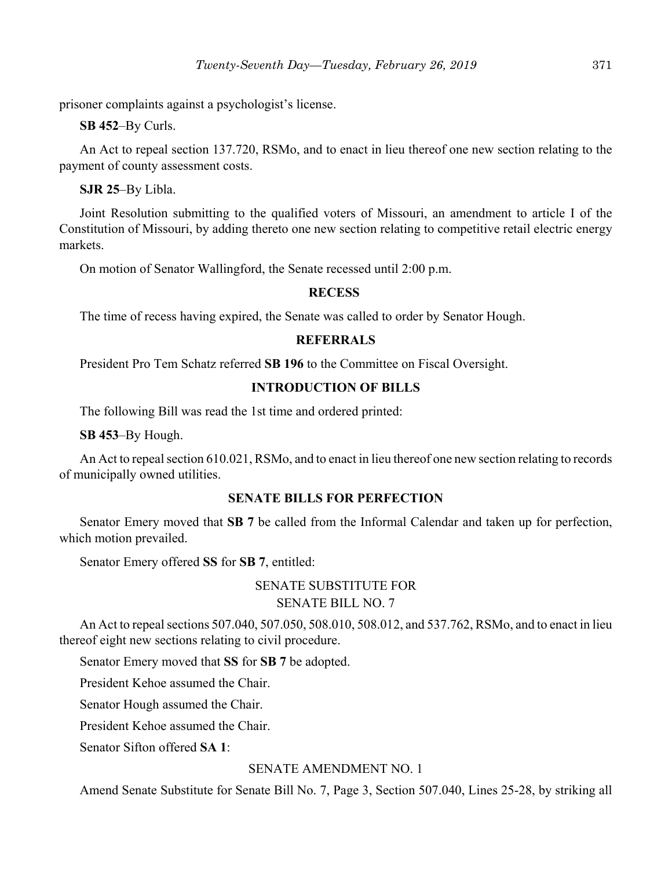prisoner complaints against a psychologist's license.

**SB 452**–By Curls.

An Act to repeal section 137.720, RSMo, and to enact in lieu thereof one new section relating to the payment of county assessment costs.

**SJR 25**–By Libla.

Joint Resolution submitting to the qualified voters of Missouri, an amendment to article I of the Constitution of Missouri, by adding thereto one new section relating to competitive retail electric energy markets.

On motion of Senator Wallingford, the Senate recessed until 2:00 p.m.

#### **RECESS**

The time of recess having expired, the Senate was called to order by Senator Hough.

#### **REFERRALS**

President Pro Tem Schatz referred **SB 196** to the Committee on Fiscal Oversight.

## **INTRODUCTION OF BILLS**

The following Bill was read the 1st time and ordered printed:

**SB 453**–By Hough.

An Act to repeal section 610.021, RSMo, and to enact in lieu thereof one new section relating to records of municipally owned utilities.

#### **SENATE BILLS FOR PERFECTION**

Senator Emery moved that **SB 7** be called from the Informal Calendar and taken up for perfection, which motion prevailed.

Senator Emery offered **SS** for **SB 7**, entitled:

## SENATE SUBSTITUTE FOR SENATE BILL NO. 7

An Act to repeal sections 507.040, 507.050, 508.010, 508.012, and 537.762, RSMo, and to enact in lieu thereof eight new sections relating to civil procedure.

Senator Emery moved that **SS** for **SB 7** be adopted.

President Kehoe assumed the Chair.

Senator Hough assumed the Chair.

President Kehoe assumed the Chair.

Senator Sifton offered **SA 1**:

#### SENATE AMENDMENT NO. 1

Amend Senate Substitute for Senate Bill No. 7, Page 3, Section 507.040, Lines 25-28, by striking all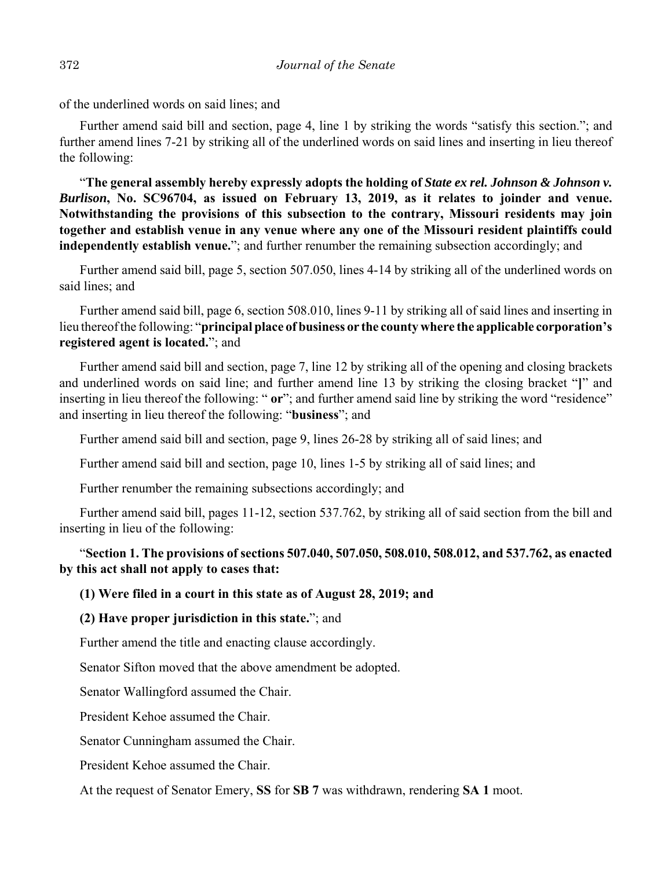of the underlined words on said lines; and

Further amend said bill and section, page 4, line 1 by striking the words "satisfy this section."; and further amend lines 7-21 by striking all of the underlined words on said lines and inserting in lieu thereof the following:

"**The general assembly hereby expressly adopts the holding of** *State ex rel. Johnson & Johnson v. Burlison***, No. SC96704, as issued on February 13, 2019, as it relates to joinder and venue. Notwithstanding the provisions of this subsection to the contrary, Missouri residents may join together and establish venue in any venue where any one of the Missouri resident plaintiffs could independently establish venue.**"; and further renumber the remaining subsection accordingly; and

Further amend said bill, page 5, section 507.050, lines 4-14 by striking all of the underlined words on said lines; and

Further amend said bill, page 6, section 508.010, lines 9-11 by striking all of said lines and inserting in lieu thereof the following: "**principal place of business or the county where the applicable corporation's registered agent is located.**"; and

Further amend said bill and section, page 7, line 12 by striking all of the opening and closing brackets and underlined words on said line; and further amend line 13 by striking the closing bracket "**]**" and inserting in lieu thereof the following: "**or**"; and further amend said line by striking the word "residence" and inserting in lieu thereof the following: "**business**"; and

Further amend said bill and section, page 9, lines 26-28 by striking all of said lines; and

Further amend said bill and section, page 10, lines 1-5 by striking all of said lines; and

Further renumber the remaining subsections accordingly; and

Further amend said bill, pages 11-12, section 537.762, by striking all of said section from the bill and inserting in lieu of the following:

## "**Section 1. The provisions of sections 507.040, 507.050, 508.010, 508.012, and 537.762, as enacted by this act shall not apply to cases that:**

#### **(1) Were filed in a court in this state as of August 28, 2019; and**

#### **(2) Have proper jurisdiction in this state.**"; and

Further amend the title and enacting clause accordingly.

Senator Sifton moved that the above amendment be adopted.

Senator Wallingford assumed the Chair.

President Kehoe assumed the Chair.

Senator Cunningham assumed the Chair.

President Kehoe assumed the Chair.

At the request of Senator Emery, **SS** for **SB 7** was withdrawn, rendering **SA 1** moot.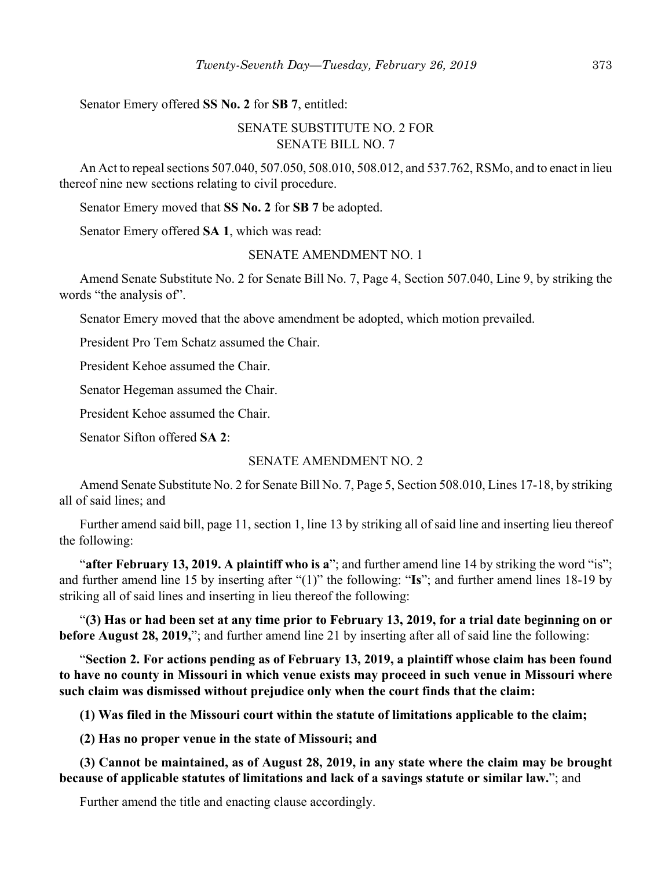Senator Emery offered **SS No. 2** for **SB 7**, entitled:

## SENATE SUBSTITUTE NO. 2 FOR SENATE BILL NO. 7

An Act to repeal sections 507.040, 507.050, 508.010, 508.012, and 537.762, RSMo, and to enact in lieu thereof nine new sections relating to civil procedure.

Senator Emery moved that **SS No. 2** for **SB 7** be adopted.

Senator Emery offered **SA 1**, which was read:

#### SENATE AMENDMENT NO. 1

Amend Senate Substitute No. 2 for Senate Bill No. 7, Page 4, Section 507.040, Line 9, by striking the words "the analysis of".

Senator Emery moved that the above amendment be adopted, which motion prevailed.

President Pro Tem Schatz assumed the Chair.

President Kehoe assumed the Chair.

Senator Hegeman assumed the Chair.

President Kehoe assumed the Chair.

Senator Sifton offered **SA 2**:

#### SENATE AMENDMENT NO. 2

Amend Senate Substitute No. 2 for Senate Bill No. 7, Page 5, Section 508.010, Lines 17-18, by striking all of said lines; and

Further amend said bill, page 11, section 1, line 13 by striking all of said line and inserting lieu thereof the following:

"**after February 13, 2019. A plaintiff who is a**"; and further amend line 14 by striking the word "is"; and further amend line 15 by inserting after "(1)" the following: "**Is**"; and further amend lines 18-19 by striking all of said lines and inserting in lieu thereof the following:

"**(3) Has or had been set at any time prior to February 13, 2019, for a trial date beginning on or before August 28, 2019,**"; and further amend line 21 by inserting after all of said line the following:

"**Section 2. For actions pending as of February 13, 2019, a plaintiff whose claim has been found to have no county in Missouri in which venue exists may proceed in such venue in Missouri where such claim was dismissed without prejudice only when the court finds that the claim:**

**(1) Was filed in the Missouri court within the statute of limitations applicable to the claim;**

**(2) Has no proper venue in the state of Missouri; and**

**(3) Cannot be maintained, as of August 28, 2019, in any state where the claim may be brought because of applicable statutes of limitations and lack of a savings statute or similar law.**"; and

Further amend the title and enacting clause accordingly.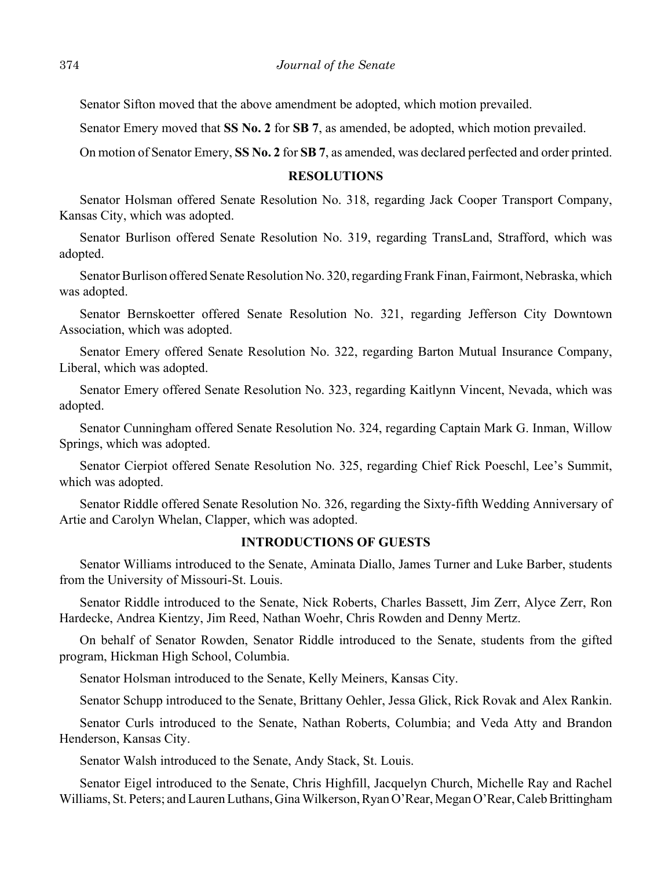Senator Sifton moved that the above amendment be adopted, which motion prevailed.

Senator Emery moved that **SS No. 2** for **SB 7**, as amended, be adopted, which motion prevailed.

On motion of Senator Emery, **SS No. 2** for **SB 7**, as amended, was declared perfected and order printed.

#### **RESOLUTIONS**

Senator Holsman offered Senate Resolution No. 318, regarding Jack Cooper Transport Company, Kansas City, which was adopted.

Senator Burlison offered Senate Resolution No. 319, regarding TransLand, Strafford, which was adopted.

Senator Burlison offered Senate Resolution No. 320, regarding Frank Finan, Fairmont, Nebraska, which was adopted.

Senator Bernskoetter offered Senate Resolution No. 321, regarding Jefferson City Downtown Association, which was adopted.

Senator Emery offered Senate Resolution No. 322, regarding Barton Mutual Insurance Company, Liberal, which was adopted.

Senator Emery offered Senate Resolution No. 323, regarding Kaitlynn Vincent, Nevada, which was adopted.

Senator Cunningham offered Senate Resolution No. 324, regarding Captain Mark G. Inman, Willow Springs, which was adopted.

Senator Cierpiot offered Senate Resolution No. 325, regarding Chief Rick Poeschl, Lee's Summit, which was adopted.

Senator Riddle offered Senate Resolution No. 326, regarding the Sixty-fifth Wedding Anniversary of Artie and Carolyn Whelan, Clapper, which was adopted.

#### **INTRODUCTIONS OF GUESTS**

Senator Williams introduced to the Senate, Aminata Diallo, James Turner and Luke Barber, students from the University of Missouri-St. Louis.

Senator Riddle introduced to the Senate, Nick Roberts, Charles Bassett, Jim Zerr, Alyce Zerr, Ron Hardecke, Andrea Kientzy, Jim Reed, Nathan Woehr, Chris Rowden and Denny Mertz.

On behalf of Senator Rowden, Senator Riddle introduced to the Senate, students from the gifted program, Hickman High School, Columbia.

Senator Holsman introduced to the Senate, Kelly Meiners, Kansas City.

Senator Schupp introduced to the Senate, Brittany Oehler, Jessa Glick, Rick Rovak and Alex Rankin.

Senator Curls introduced to the Senate, Nathan Roberts, Columbia; and Veda Atty and Brandon Henderson, Kansas City.

Senator Walsh introduced to the Senate, Andy Stack, St. Louis.

Senator Eigel introduced to the Senate, Chris Highfill, Jacquelyn Church, Michelle Ray and Rachel Williams, St. Peters; and Lauren Luthans, Gina Wilkerson, Ryan O'Rear, Megan O'Rear, Caleb Brittingham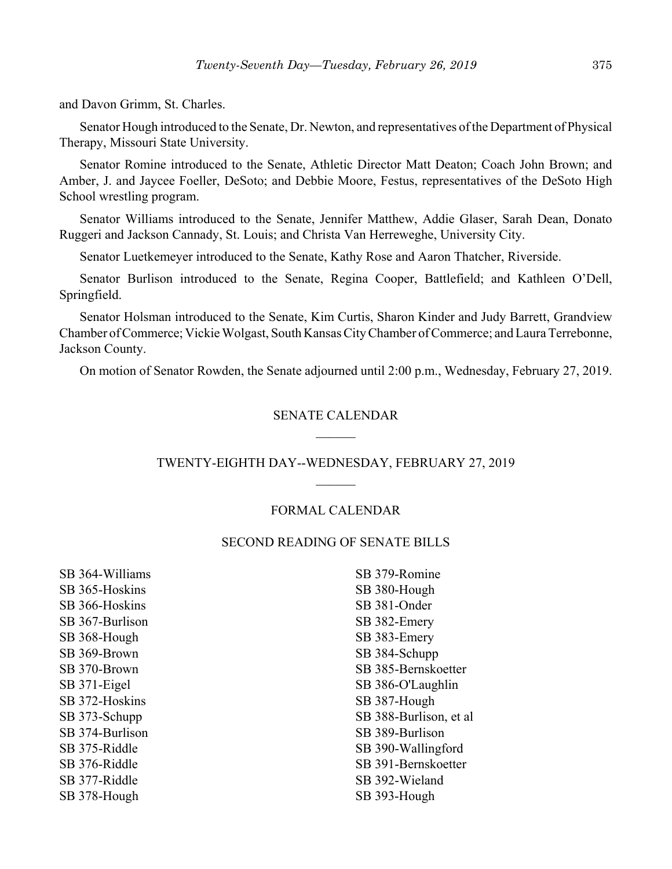and Davon Grimm, St. Charles.

Senator Hough introduced to the Senate, Dr. Newton, and representatives of the Department of Physical Therapy, Missouri State University.

Senator Romine introduced to the Senate, Athletic Director Matt Deaton; Coach John Brown; and Amber, J. and Jaycee Foeller, DeSoto; and Debbie Moore, Festus, representatives of the DeSoto High School wrestling program.

Senator Williams introduced to the Senate, Jennifer Matthew, Addie Glaser, Sarah Dean, Donato Ruggeri and Jackson Cannady, St. Louis; and Christa Van Herreweghe, University City.

Senator Luetkemeyer introduced to the Senate, Kathy Rose and Aaron Thatcher, Riverside.

Senator Burlison introduced to the Senate, Regina Cooper, Battlefield; and Kathleen O'Dell, Springfield.

Senator Holsman introduced to the Senate, Kim Curtis, Sharon Kinder and Judy Barrett, Grandview Chamber of Commerce; Vickie Wolgast, South Kansas City Chamber of Commerce; and Laura Terrebonne, Jackson County.

On motion of Senator Rowden, the Senate adjourned until 2:00 p.m., Wednesday, February 27, 2019.

#### SENATE CALENDAR

#### TWENTY-EIGHTH DAY--WEDNESDAY, FEBRUARY 27, 2019

#### FORMAL CALENDAR

#### SECOND READING OF SENATE BILLS

SB 364-Williams SB 365-Hoskins SB 366-Hoskins SB 367-Burlison SB 368-Hough SB 369-Brown SB 370-Brown SB 371-Eigel SB 372-Hoskins SB 373-Schupp SB 374-Burlison SB 375-Riddle SB 376-Riddle SB 377-Riddle SB 378-Hough

SB 379-Romine SB 380-Hough SB 381-Onder SB 382-Emery SB 383-Emery SB 384-Schupp SB 385-Bernskoetter SB 386-O'Laughlin SB 387-Hough SB 388-Burlison, et al SB 389-Burlison SB 390-Wallingford SB 391-Bernskoetter SB 392-Wieland SB 393-Hough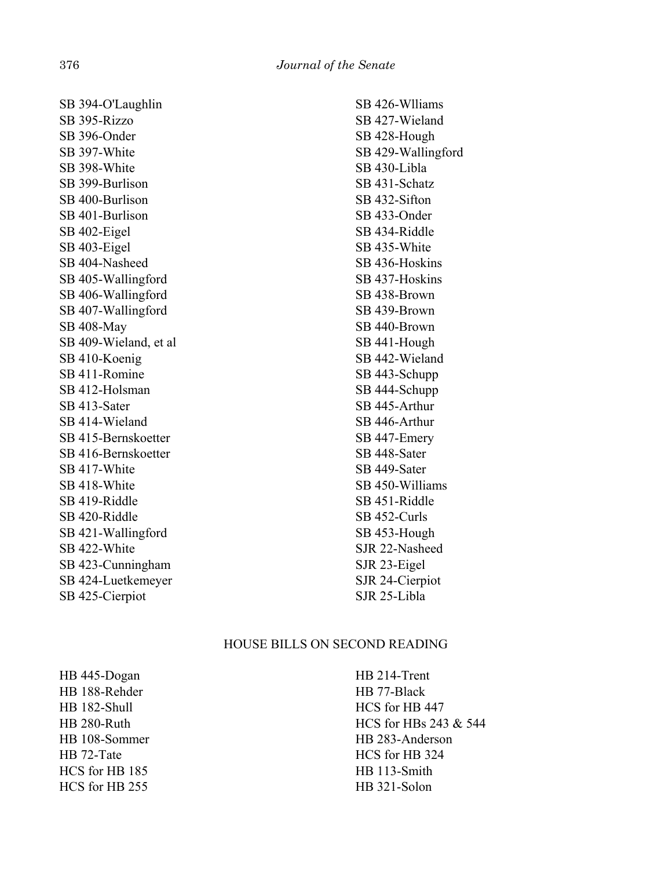SB 394-O'Laughlin SB 395-Rizzo SB 396-Onder SB 397-White SB 398-White SB 399-Burlison SB 400-Burlison SB 401-Burlison SB 402-Eigel SB 403-Eigel SB 404-Nasheed SB 405-Wallingford SB 406-Wallingford SB 407-Wallingford SB 408-May SB 409-Wieland, et al SB 410-Koenig SB 411-Romine SB 412-Holsman SB 413-Sater SB 414-Wieland SB 415-Bernskoetter SB 416-Bernskoetter SB 417-White SB 418-White SB 419-Riddle SB 420-Riddle SB 421-Wallingford SB 422-White SB 423-Cunningham SB 424-Luetkemeyer SB 425-Cierpiot

SB 426-Wlliams SB 427-Wieland SB 428-Hough SB 429-Wallingford SB 430-Libla SB 431-Schatz SB 432-Sifton SB 433-Onder SB 434-Riddle SB 435-White SB 436-Hoskins SB 437-Hoskins SB 438-Brown SB 439-Brown SB 440-Brown SB 441-Hough SB 442-Wieland SB 443-Schupp SB 444-Schupp SB 445-Arthur SB 446-Arthur SB 447-Emery SB 448-Sater SB 449-Sater SB 450-Williams SB 451-Riddle SB 452-Curls SB 453-Hough SJR 22-Nasheed SJR 23-Eigel SJR 24-Cierpiot SJR 25-Libla

#### HOUSE BILLS ON SECOND READING

HB 445-Dogan HB 188-Rehder HB 182-Shull HB 280-Ruth HB 108-Sommer HB 72-Tate HCS for HB 185 HCS for HB 255

HB 214-Trent HB 77-Black HCS for HB 447 HCS for HBs 243 & 544 HB 283-Anderson HCS for HB 324 HB 113-Smith HB 321-Solon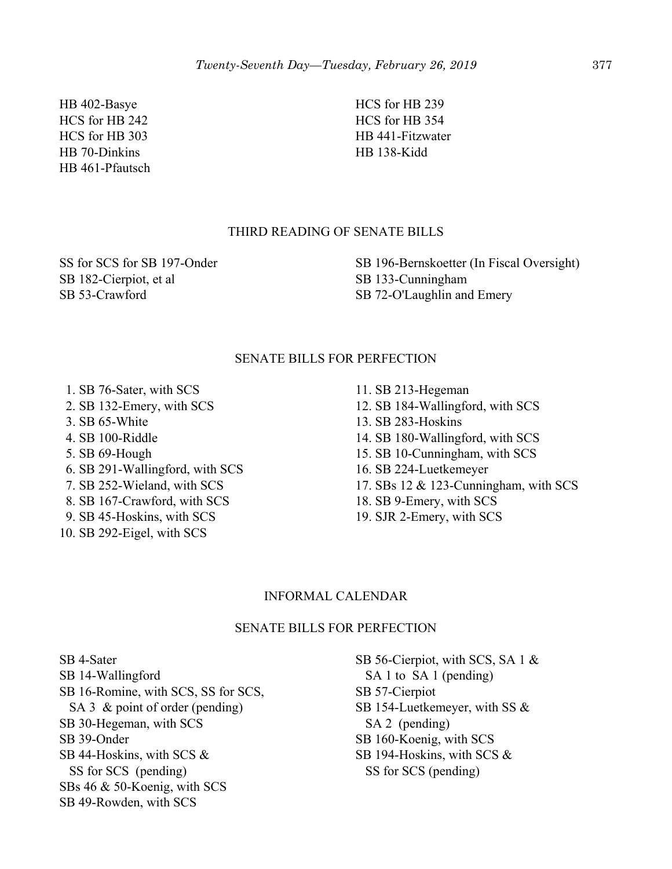HB 402-Basye HCS for HB 242 HCS for HB 303 HB 70-Dinkins HB 461-Pfautsch

HCS for HB 239 HCS for HB 354 HB 441-Fitzwater HB 138-Kidd

#### THIRD READING OF SENATE BILLS

SS for SCS for SB 197-Onder SB 182-Cierpiot, et al SB 53-Crawford

SB 196-Bernskoetter (In Fiscal Oversight) SB 133-Cunningham SB 72-O'Laughlin and Emery

## SENATE BILLS FOR PERFECTION

1. SB 76-Sater, with SCS

- 2. SB 132-Emery, with SCS
- 3. SB 65-White
- 4. SB 100-Riddle
- 5. SB 69-Hough
- 6. SB 291-Wallingford, with SCS
- 7. SB 252-Wieland, with SCS
- 8. SB 167-Crawford, with SCS
- 9. SB 45-Hoskins, with SCS
- 10. SB 292-Eigel, with SCS
- 11. SB 213-Hegeman 12. SB 184-Wallingford, with SCS 13. SB 283-Hoskins 14. SB 180-Wallingford, with SCS 15. SB 10-Cunningham, with SCS
- 16. SB 224-Luetkemeyer
- 17. SBs 12 & 123-Cunningham, with SCS
- 18. SB 9-Emery, with SCS
- 19. SJR 2-Emery, with SCS

#### INFORMAL CALENDAR

#### SENATE BILLS FOR PERFECTION

SB 4-Sater SB 14-Wallingford SB 16-Romine, with SCS, SS for SCS, SA 3 & point of order (pending) SB 30-Hegeman, with SCS SB 39-Onder SB 44-Hoskins, with SCS & SS for SCS (pending) SBs 46 & 50-Koenig, with SCS SB 49-Rowden, with SCS

SB 56-Cierpiot, with SCS, SA 1 & SA 1 to SA 1 (pending) SB 57-Cierpiot SB 154-Luetkemeyer, with SS & SA 2 (pending) SB 160-Koenig, with SCS SB 194-Hoskins, with SCS & SS for SCS (pending)